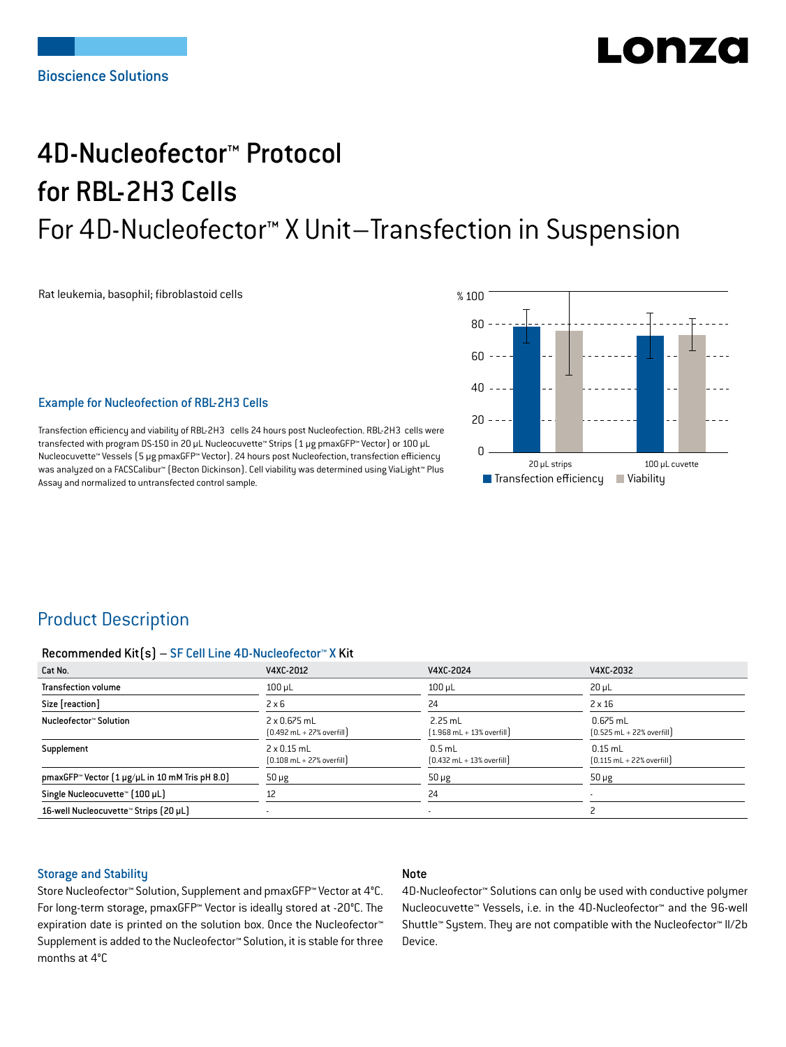# LODZO

## 4D-Nucleofector™ Protocol for RBL-2H3 Cells For 4D-Nucleofector™ X Unit–Transfection in Suspension

Rat leukemia, basophil; fibroblastoid cells



#### Example for Nucleofection of RBL-2H3 Cells

Transfection efficiency and viability of RBL-2H3 cells 24 hours post Nucleofection. RBL-2H3 cells were transfected with program DS-150 in 20 μL Nucleocuvette™ Strips (1 μg pmaxGFP™ Vector) or 100 μL Nucleocuvette™ Vessels (5 μg pmaxGFP™ Vector). 24 hours post Nucleofection, transfection efficiency was analyzed on a FACSCalibur™ (Becton Dickinson). Cell viability was determined using ViaLight™ Plus Assay and normalized to untransfected control sample.

## Product Description

#### Recommended Kit(s) – SF Cell Line 4D-Nucleofector™ X Kit

| Cat No.                                                           | V4XC-2012                                                           | V4XC-2024                                                 | V4XC-2032                                                  |
|-------------------------------------------------------------------|---------------------------------------------------------------------|-----------------------------------------------------------|------------------------------------------------------------|
| <b>Transfection volume</b>                                        | $100 \mu L$                                                         | $100$ $\mu$ L                                             | $20 \mu L$                                                 |
| Size [reaction]                                                   | $2 \times 6$                                                        | 24                                                        | $2 \times 16$                                              |
| Nucleofector™ Solution                                            | $2 \times 0.675$ mL<br>$[0.492 \text{ mL} + 27\% \text{ overfill}]$ | $2.25$ mL<br>$[1.968 \text{ mL} + 13\% \text{ overfill}]$ | $0.675$ mL<br>$[0.525 \text{ mL} + 22\% \text{ overfill}]$ |
| Supplement                                                        | $2 \times 0.15$ mL<br>$[0.108 \text{ mL} + 27\% \text{ overfill}]$  | $0.5$ mL<br>$[0.432 \text{ mL} + 13\% \text{ overfill}]$  | $0.15$ mL<br>$[0.115 \text{ mL} + 22\% \text{ overfill}]$  |
| pmaxGFP <sup>*</sup> Vector $[1 \mu g/\mu L$ in 10 mM Tris pH 8.0 | $50 \mu g$                                                          | $50 \mu g$                                                | $50 \mu g$                                                 |
| Single Nucleocuvette™ [100 µL]                                    | 12                                                                  | 24                                                        |                                                            |
| 16-well Nucleocuvette™ Strips (20 µL)                             |                                                                     | $\overline{\phantom{a}}$                                  |                                                            |

#### Storage and Stability

#### Note

Store Nucleofector™ Solution, Supplement and pmaxGFP™ Vector at 4°C. For long-term storage, pmaxGFP™ Vector is ideally stored at -20°C. The expiration date is printed on the solution box. Once the Nucleofector™ Supplement is added to the Nucleofector™ Solution, it is stable for three months at 4°C

4D-Nucleofector™ Solutions can only be used with conductive polymer Nucleocuvette™ Vessels, i.e. in the 4D-Nucleofector™ and the 96-well Shuttle™ System. They are not compatible with the Nucleofector™ II/2b Device.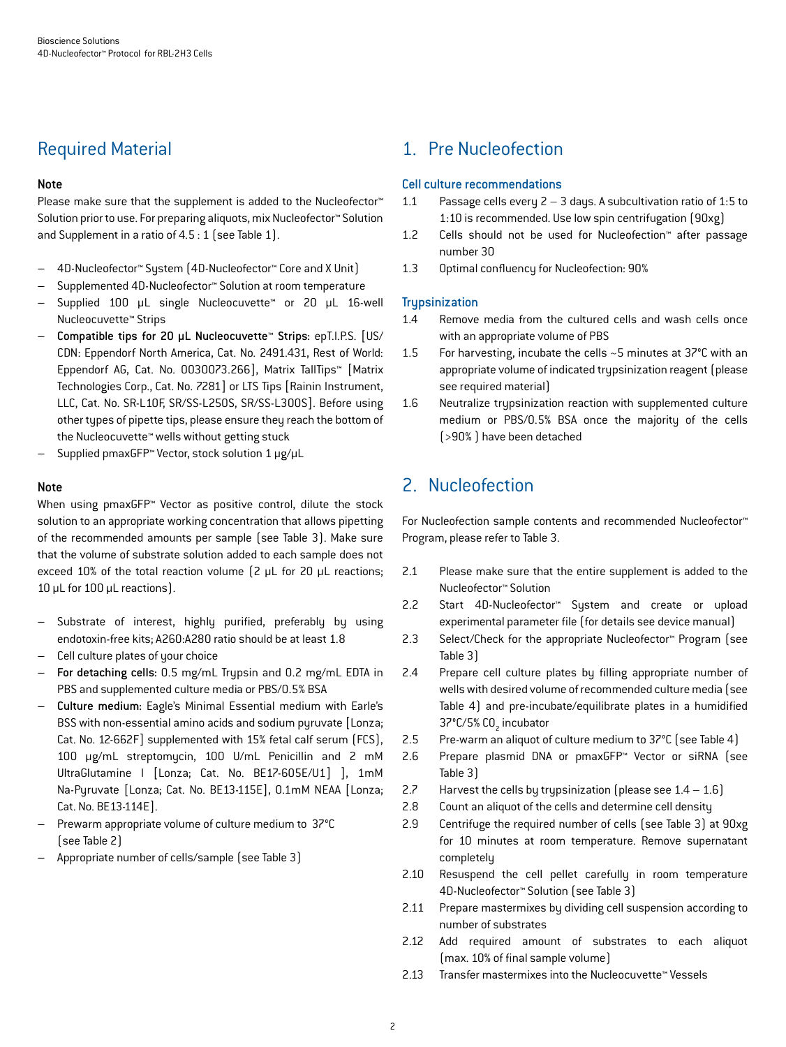## Required Material

#### Note

Please make sure that the supplement is added to the Nucleofector<sup>™</sup> Solution prior to use. For preparing aliquots, mix Nucleofector™ Solution and Supplement in a ratio of 4.5 : 1 (see Table 1).

- 4D-Nucleofector™ System (4D-Nucleofector™ Core and X Unit)
- Supplemented 4D-Nucleofector™ Solution at room temperature
- Supplied 100 µL single Nucleocuvette™ or 20 µL 16-well Nucleocuvette™ Strips
- Compatible tips for 20 µL Nucleocuvette™ Strips: epT.I.P.S. [US/ CDN: Eppendorf North America, Cat. No. 2491.431, Rest of World: Eppendorf AG, Cat. No. 0030073.266], Matrix TallTips™ [Matrix Technologies Corp., Cat. No. 7281] or LTS Tips [Rainin Instrument, LLC, Cat. No. SR-L10F, SR/SS-L250S, SR/SS-L300S]. Before using other types of pipette tips, please ensure they reach the bottom of the Nucleocuvette™ wells without getting stuck
- Supplied pmaxGFP™ Vector, stock solution 1 μg/μL

#### Note

When using pmaxGFP™ Vector as positive control, dilute the stock solution to an appropriate working concentration that allows pipetting of the recommended amounts per sample (see Table 3). Make sure that the volume of substrate solution added to each sample does not exceed 10% of the total reaction volume (2 μL for 20 μL reactions; 10 μL for 100 μL reactions).

- Substrate of interest, highly purified, preferably by using endotoxin-free kits; A260:A280 ratio should be at least 1.8
- Cell culture plates of your choice
- For detaching cells: 0.5 mg/mL Trypsin and 0.2 mg/mL EDTA in PBS and supplemented culture media or PBS/0.5% BSA
- Culture medium: Eagle's Minimal Essential medium with Earle's BSS with non-essential amino acids and sodium pyruvate [Lonza; Cat. No. 12-662F] supplemented with 15% fetal calf serum (FCS), 100 μg/mL streptomycin, 100 U/mL Penicillin and 2 mM UltraGlutamine I [Lonza; Cat. No. BE17-605E/U1] ], 1mM Na-Pyruvate [Lonza; Cat. No. BE13-115E], 0.1mM NEAA [Lonza; Cat. No. BE13-114E].
- Prewarm appropriate volume of culture medium to 37°C (see Table 2)
- Appropriate number of cells/sample (see Table 3)

## 1. Pre Nucleofection

#### Cell culture recommendations

- 1.1 Passage cells every  $2 3$  days. A subcultivation ratio of 1:5 to 1:10 is recommended. Use low spin centrifugation (90xg)
- 1.2 Cells should not be used for Nucleofection™ after passage number 30
- 1.3 Optimal confluency for Nucleofection: 90%

#### **Trypsinization**

- 1.4 Remove media from the cultured cells and wash cells once with an appropriate volume of PBS
- 1.5 For harvesting, incubate the cells ~5 minutes at 37°C with an appropriate volume of indicated trypsinization reagent (please see required material)
- 1.6 Neutralize trypsinization reaction with supplemented culture medium or PBS/0.5% BSA once the majority of the cells (>90% ) have been detached

## 2. Nucleofection

For Nucleofection sample contents and recommended Nucleofector™ Program, please refer to Table 3.

- 2.1 Please make sure that the entire supplement is added to the Nucleofector™ Solution
- 2.2 Start 4D-Nucleofector™ System and create or upload experimental parameter file (for details see device manual)
- 2.3 Select/Check for the appropriate Nucleofector™ Program (see Table 3)
- 2.4 Prepare cell culture plates by filling appropriate number of wells with desired volume of recommended culture media (see Table 4) and pre-incubate/equilibrate plates in a humidified 37°C/5% CO<sub>2</sub> incubator
- 2.5 Pre-warm an aliquot of culture medium to 37°C (see Table 4)
- 2.6 Prepare plasmid DNA or pmaxGFP™ Vector or siRNA (see Table 3)
- 2.7 Harvest the cells by trypsinization (please see  $1.4 1.6$ )
- 2.8 Count an aliquot of the cells and determine cell density
- 2.9 Centrifuge the required number of cells (see Table 3) at 90xg for 10 minutes at room temperature. Remove supernatant completely
- 2.10 Resuspend the cell pellet carefully in room temperature 4D-Nucleofector™ Solution (see Table 3)
- 2.11 Prepare mastermixes by dividing cell suspension according to number of substrates
- 2.12 Add required amount of substrates to each aliquot (max. 10% of final sample volume)
- 2.13 Transfer mastermixes into the Nucleocuvette™ Vessels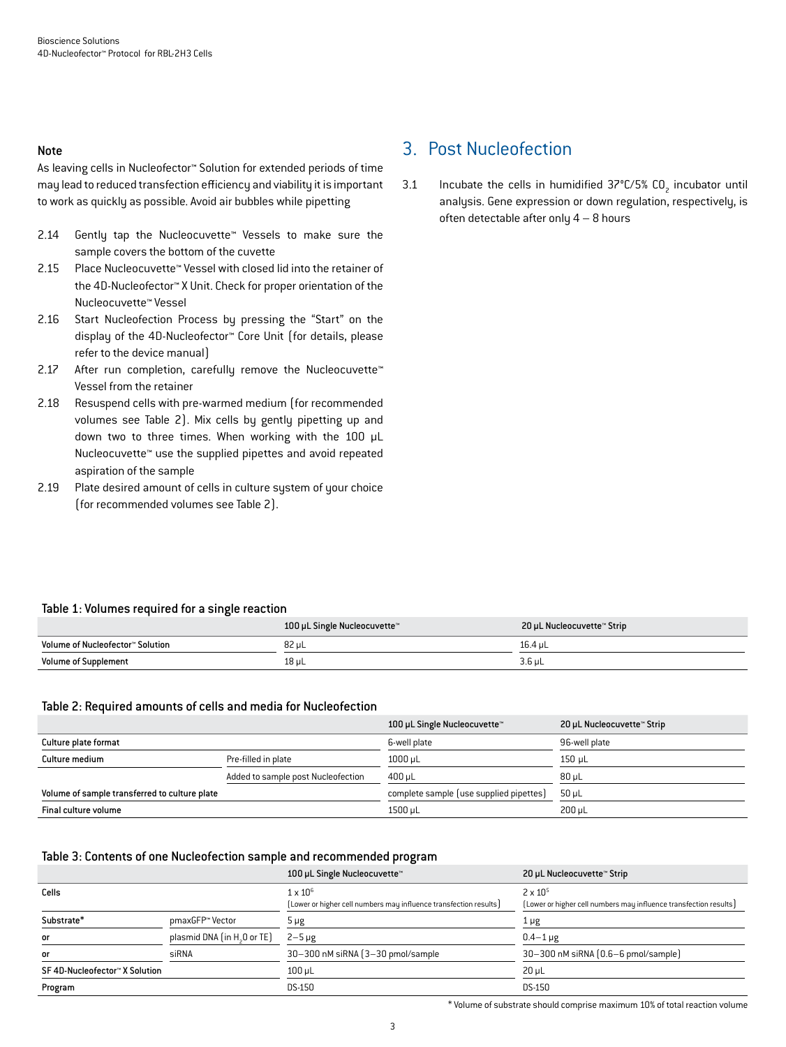#### Note

As leaving cells in Nucleofector™ Solution for extended periods of time may lead to reduced transfection efficiency and viability it is important to work as quickly as possible. Avoid air bubbles while pipetting

- 2.14 Gently tap the Nucleocuvette™ Vessels to make sure the sample covers the bottom of the cuvette
- 2.15 Place Nucleocuvette™ Vessel with closed lid into the retainer of the 4D-Nucleofector™ X Unit. Check for proper orientation of the Nucleocuvette™ Vessel
- 2.16 Start Nucleofection Process by pressing the "Start" on the display of the 4D-Nucleofector™ Core Unit (for details, please refer to the device manual)
- 2.17 After run completion, carefully remove the Nucleocuvette™ Vessel from the retainer
- 2.18 Resuspend cells with pre-warmed medium (for recommended volumes see Table 2). Mix cells by gently pipetting up and down two to three times. When working with the 100 µL Nucleocuvette™ use the supplied pipettes and avoid repeated aspiration of the sample
- 2.19 Plate desired amount of cells in culture system of your choice (for recommended volumes see Table 2).

## 3. Post Nucleofection

3.1 Incubate the cells in humidified  $37^{\circ}$ C/5% CO<sub>2</sub> incubator until analysis. Gene expression or down regulation, respectively, is often detectable after only 4 – 8 hours

#### Table 1: Volumes required for a single reaction

|                                  | 100 µL Single Nucleocuvette™ | 20 µL Nucleocuvette™ Strip |
|----------------------------------|------------------------------|----------------------------|
| Volume of Nucleofector™ Solution | 82 uL                        | 16.4 uL                    |
| <b>Volume of Supplement</b>      | 18 uL                        | $3.6$ uL                   |

#### Table 2: Required amounts of cells and media for Nucleofection

|                                               |                                    | 100 µL Single Nucleocuvette™            | 20 µL Nucleocuvette™ Strip |
|-----------------------------------------------|------------------------------------|-----------------------------------------|----------------------------|
| Culture plate format                          |                                    | 6-well plate                            | 96-well plate              |
| Culture medium                                | Pre-filled in plate                | $1000 \mu L$                            | 150 µL                     |
|                                               | Added to sample post Nucleofection | 400 uL                                  | $80 \mu L$                 |
| Volume of sample transferred to culture plate |                                    | complete sample (use supplied pipettes) | 50 uL                      |
| Final culture volume                          |                                    | 1500 µL                                 | $200 \mu L$                |

#### Table 3: Contents of one Nucleofection sample and recommended program

|                                |                                         | 100 µL Single Nucleocuvette™                                                         | 20 µL Nucleocuvette™ Strip                                                             |
|--------------------------------|-----------------------------------------|--------------------------------------------------------------------------------------|----------------------------------------------------------------------------------------|
| Cells                          |                                         | $1 \times 10^6$<br>[Lower or higher cell numbers may influence transfection results] | $2 \times 10^{5}$<br>[Lower or higher cell numbers may influence transfection results] |
| Substrate*                     | pmaxGFP™ Vector                         | 5 µg                                                                                 | 1 µg                                                                                   |
| or                             | plasmid DNA (in H <sub>3</sub> O or TE) | $2-5 \mu$ g                                                                          | $0.4 - 1 \mu$ g                                                                        |
| or                             | siRNA                                   | 30-300 nM siRNA (3-30 pmol/sample                                                    | 30-300 nM siRNA (0.6-6 pmol/sample)                                                    |
| SF 4D-Nucleofector™ X Solution |                                         | $100$ $\mu$ L                                                                        | $20 \mu L$                                                                             |
| Program                        |                                         | DS-150                                                                               | <b>DS-150</b>                                                                          |

\* Volume of substrate should comprise maximum 10% of total reaction volume